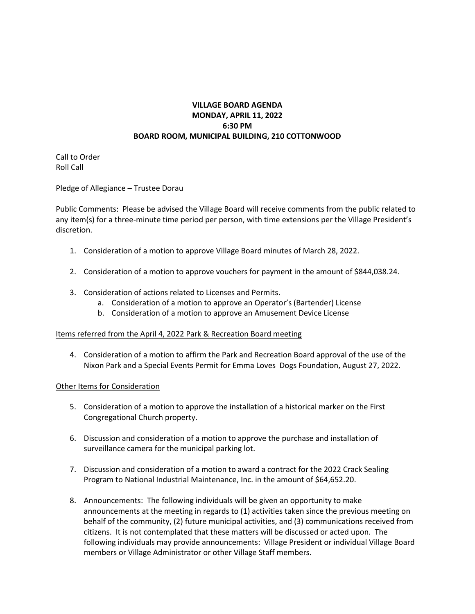## **VILLAGE BOARD AGENDA MONDAY, APRIL 11, 2022 6:30 PM BOARD ROOM, MUNICIPAL BUILDING, 210 COTTONWOOD**

Call to Order Roll Call

Pledge of Allegiance – Trustee Dorau

Public Comments: Please be advised the Village Board will receive comments from the public related to any item(s) for a three-minute time period per person, with time extensions per the Village President's discretion.

- 1. Consideration of a motion to approve Village Board minutes of March 28, 2022.
- 2. Consideration of a motion to approve vouchers for payment in the amount of \$844,038.24.
- 3. Consideration of actions related to Licenses and Permits.
	- a. Consideration of a motion to approve an Operator's (Bartender) License
	- b. Consideration of a motion to approve an Amusement Device License

## Items referred from the April 4, 2022 Park & Recreation Board meeting

4. Consideration of a motion to affirm the Park and Recreation Board approval of the use of the Nixon Park and a Special Events Permit for Emma Loves Dogs Foundation, August 27, 2022.

## Other Items for Consideration

- 5. Consideration of a motion to approve the installation of a historical marker on the First Congregational Church property.
- 6. Discussion and consideration of a motion to approve the purchase and installation of surveillance camera for the municipal parking lot.
- 7. Discussion and consideration of a motion to award a contract for the 2022 Crack Sealing Program to National Industrial Maintenance, Inc. in the amount of \$64,652.20.
- 8. Announcements: The following individuals will be given an opportunity to make announcements at the meeting in regards to (1) activities taken since the previous meeting on behalf of the community, (2) future municipal activities, and (3) communications received from citizens. It is not contemplated that these matters will be discussed or acted upon. The following individuals may provide announcements: Village President or individual Village Board members or Village Administrator or other Village Staff members.